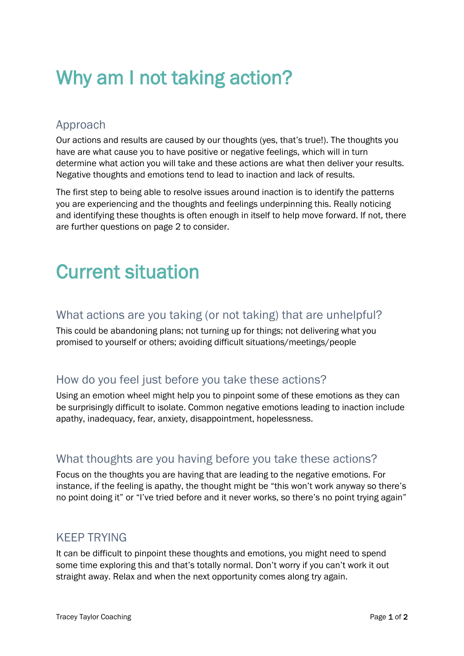### Why am I not taking action?

### Approach

Our actions and results are caused by our thoughts (yes, that's true!). The thoughts you have are what cause you to have positive or negative feelings, which will in turn determine what action you will take and these actions are what then deliver your results. Negative thoughts and emotions tend to lead to inaction and lack of results.

The first step to being able to resolve issues around inaction is to identify the patterns you are experiencing and the thoughts and feelings underpinning this. Really noticing and identifying these thoughts is often enough in itself to help move forward. If not, there are further questions on page 2 to consider.

# Current situation

### What actions are you taking (or not taking) that are unhelpful?

This could be abandoning plans; not turning up for things; not delivering what you promised to yourself or others; avoiding difficult situations/meetings/people

### How do you feel just before you take these actions?

Using an emotion wheel might help you to pinpoint some of these emotions as they can be surprisingly difficult to isolate. Common negative emotions leading to inaction include apathy, inadequacy, fear, anxiety, disappointment, hopelessness.

### What thoughts are you having before you take these actions?

Focus on the thoughts you are having that are leading to the negative emotions. For instance, if the feeling is apathy, the thought might be "this won't work anyway so there's no point doing it" or "I've tried before and it never works, so there's no point trying again"

### KEEP TRYING

It can be difficult to pinpoint these thoughts and emotions, you might need to spend some time exploring this and that's totally normal. Don't worry if you can't work it out straight away. Relax and when the next opportunity comes along try again.